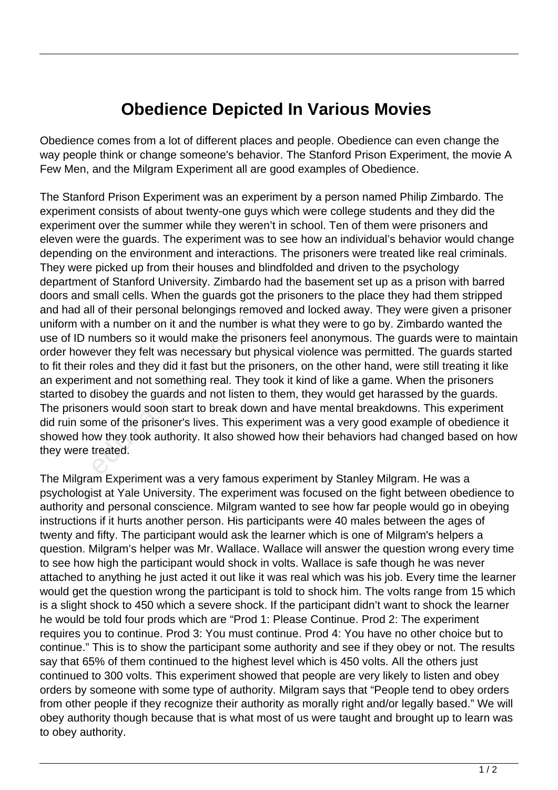## **Obedience Depicted In Various Movies**

Obedience comes from a lot of different places and people. Obedience can even change the way people think or change someone's behavior. The Stanford Prison Experiment, the movie A Few Men, and the Milgram Experiment all are good examples of Obedience.

The Stanford Prison Experiment was an experiment by a person named Philip Zimbardo. The experiment consists of about twenty-one guys which were college students and they did the experiment over the summer while they weren't in school. Ten of them were prisoners and eleven were the guards. The experiment was to see how an individual's behavior would change depending on the environment and interactions. The prisoners were treated like real criminals. They were picked up from their houses and blindfolded and driven to the psychology department of Stanford University. Zimbardo had the basement set up as a prison with barred doors and small cells. When the guards got the prisoners to the place they had them stripped and had all of their personal belongings removed and locked away. They were given a prisoner uniform with a number on it and the number is what they were to go by. Zimbardo wanted the use of ID numbers so it would make the prisoners feel anonymous. The guards were to maintain order however they felt was necessary but physical violence was permitted. The guards started to fit their roles and they did it fast but the prisoners, on the other hand, were still treating it like an experiment and not something real. They took it kind of like a game. When the prisoners started to disobey the guards and not listen to them, they would get harassed by the guards. The prisoners would soon start to break down and have mental breakdowns. This experiment did ruin some of the prisoner's lives. This experiment was a very good example of obedience it showed how they took authority. It also showed how their behaviors had changed based on how they were treated. th a number on it and the number<br>
umbers so it would make the pris<br>
ever they felt was necessary but p<br>
coles and they did it fast but the pr<br>
oles and they did it fast but the pr<br>
nent and not something real. They<br>
disobe

The Milgram Experiment was a very famous experiment by Stanley Milgram. He was a psychologist at Yale University. The experiment was focused on the fight between obedience to authority and personal conscience. Milgram wanted to see how far people would go in obeying instructions if it hurts another person. His participants were 40 males between the ages of twenty and fifty. The participant would ask the learner which is one of Milgram's helpers a question. Milgram's helper was Mr. Wallace. Wallace will answer the question wrong every time to see how high the participant would shock in volts. Wallace is safe though he was never attached to anything he just acted it out like it was real which was his job. Every time the learner would get the question wrong the participant is told to shock him. The volts range from 15 which is a slight shock to 450 which a severe shock. If the participant didn't want to shock the learner he would be told four prods which are "Prod 1: Please Continue. Prod 2: The experiment requires you to continue. Prod 3: You must continue. Prod 4: You have no other choice but to continue." This is to show the participant some authority and see if they obey or not. The results say that 65% of them continued to the highest level which is 450 volts. All the others just continued to 300 volts. This experiment showed that people are very likely to listen and obey orders by someone with some type of authority. Milgram says that "People tend to obey orders from other people if they recognize their authority as morally right and/or legally based." We will obey authority though because that is what most of us were taught and brought up to learn was to obey authority.